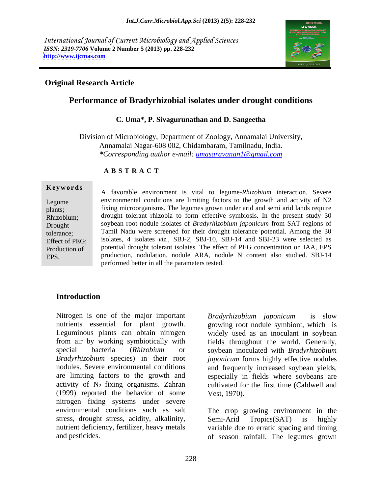International Journal of Current Microbiology and Applied Sciences *ISSN: 2319-7706* **Volume 2 Number 5 (2013) pp. 228-232 <http://www.ijcmas.com>**



## **Original Research Article**

# **Performance of Bradyrhizobial isolates under drought conditions**

## **C. Uma\*, P. Sivagurunathan and D. Sangeetha**

Division of Microbiology, Department of Zoology, Annamalai University, Annamalai Nagar-608 002, Chidambaram, Tamilnadu, India. *\*Corresponding author e-mail: umasaravanan1@gmail.com*

### **A B S T R A C T**

**Keywords** A favorable environment is vital to legume-*Rhizobium* interaction. Severe Legume environmental conditions are limiting factors to the growth and activity of N2 plants; fixing microorganisms. The legumes grown under arid and semi arid lands require Rhizobium; drought tolerant rhizobia to form effective symbiosis. In the present study 30 Drought soybean root nodule isolates of *Bradyrhizobium japonicum* from SAT regions of tolerance; Tamil Nadu were screened for their drought tolerance potential. Among the 30 Effect of PEG; isolates, 4 isolates *viz.*, SBJ-2, SBJ-10, SBJ-14 and SBJ-23 were selected as Production of potential drought tolerant isolates. The effect of PEG concentration on IAA, EPS EPS. production, nodulation, nodule ARA, nodule N content also studied. SBJ-14 performed better in all the parameters tested.

# **Introduction**

Nitrogen is one of the major important Bradyrhizobium japonicum is slow nutrients essential for plant growth. Leguminous plants can obtain nitrogen from air by working symbiotically with fields throughout the world. Generally, special bacteria (*Rhizobium* or soybean inoculated with *Bradyrhizobium Bradyrhizobium* species) in their root *japonicum* forms highly effective nodules nodules. Severe environmental conditions and frequently increased soybean yields, are limiting factors to the growth and especially in fields where soybeans are activity of  $N_2$  fixing organisms. Zahran cultivated for the first time (Caldwell and (1999) reported the behavior of some nitrogen fixing systems under severe environmental conditions such as salt The crop growing environment in the stress, drought stress, acidity, alkalinity, Semi-Arid Tropics(SAT) is highly nutrient deficiency, fertilizer, heavy metals variable due to erratic spacing and timing

*Bradyrhizobium japonicum* is slow growing root nodule symbiont, which is widely used as an inoculant in soybean Vest, 1970).

and pesticides. of season rainfall. The legumes grown Semi-Arid Tropics(SAT) is highly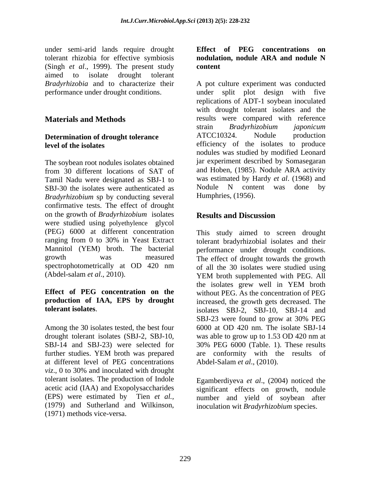under semi-arid lands require drought Effect of PEG concentrations on tolerant rhizobia for effective symbiosis **nodulation**, nodule ARA and nodule N (Singh *et al*., 1999). The present study aimed to isolate drought tolerant

The soybean root nodules isolates obtained from 30 different locations of SAT of and Hoben, (1985). Nodule ARA activity Tamil Nadu were designated as SBJ-1 to was estimated by Hardy *et al.* (1968) and SBL-30 the isolates were authenticated as Nodule N content was done by SBJ-30 the isolates were authenticated as *Bradyrhizobium* sp by conducting several confirmative tests. The effect of drought on the growth of *Bradyrhizobium* isolates were studied using polyethylence glycol (PEG) 6000 at different concentration This study aimed to screen drought ranging from 0 to 30% in Yeast Extract tolerant bradyrhizobial isolates and their Mannitol (YEM) broth. The bacterial performance under drought conditions. growth was measured The effect of drought towards the growth spectrophotometrically at OD 420 nm of all the 30 isolates were studied using (Abdel-salam *et al.*, 2010). YEM broth supplemented with PEG. All

# **production of IAA, EPS by drought**

Among the 30 isolates tested, the best four drought tolerant isolates (SBJ-2, SBJ-10, was able to grow up to 1.53 OD 420 nm at at different level of PEG concentrations *viz*., 0 to 30% and inoculated with drought tolerant isolates. The production of Indole acetic acid (IAA) and Exopolysaccharides significant effects on growth, nodule (EPS) were estimated by Tien *et al.,* number and yield of soybean after (1979) and Sutherland and Wilkinson, inoculation wit *Bradyrhizobium* species. (1971) methods vice-versa.

## **Effect of PEG concentrations on nodulation, nodule ARA and nodule N content**

*Bradyrhizobia* and to characterize their A pot culture experiment was conducted performance under drought conditions. under split plot design with five **Materials and Methods** results were compared with reference **Determination of drought tolerance**  $\text{ATCC10324.}$  Nodule production **level of the isolates** efficiency of the isolates to produce replications of ADT-1 soybean inoculated with drought tolerant isolates and the strain *Bradyrhizobium japonicum* ATCC10324. Nodule production nodules was studied by modified Leonard jar experiment described by Somasegaran and Hoben, (1985). Nodule ARA activity was estimated by Hardy *et al*. (1968) and Nodule N content was done by Humphries, (1956).

# **Results and Discussion**

**Effect of PEG concentration on the** without PEG. As the concentration of PEG **tolerant isolates.** isolates SBJ-2, SBJ-10, SBJ-14 and SBJ-14 and SBJ-23) were selected for 30% PEG 6000 (Table. 1). These results further studies. YEM broth was prepared are conformity with the results of YEM broth supplemented with PEG. All the isolates grew well in YEM broth increased, the growth gets decreased. The SBJ-23 were found to grow at 30% PEG 6000 at OD 420 nm. The isolate SBJ-14 was able to grow up to 1.53 OD 420 nm at are conformity with the results of Abdel-Salam *et al*., (2010).

Egamberdiyeva *et al*., (2004) noticed the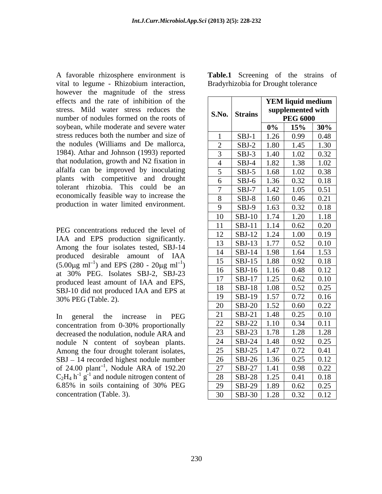A favorable rhizosphere environment is vital to legume - Rhizobium interaction, however the magnitude of the stress effects and the rate of inhibition of the stress. Mild water stress reduces the number of nodules formed on the roots of soybean, while moderate and severe water stress reduces both the number and size of the nodules (Williams and De mallorca, 1984). Athar and Johnson (1993) reported that nodulation, growth and N2 fixation in alfalfa can be improved by inoculating plants with competitive and drought tolerant rhizobia. This could be an economically feasible way to increase the production in water limited environment.

| effects and the rate of inhibition of the                                 | <b>YEM liquid medium</b>                                                                                   |
|---------------------------------------------------------------------------|------------------------------------------------------------------------------------------------------------|
| stress. Mild water stress reduces the                                     | supplemented with<br>S.No. Strains                                                                         |
| number of nodules formed on the roots of                                  | $\begin{array}{ c c c c c c } \hline & \text{PEG 6000} & \\ \hline 0\% & 15\% & 30\% \\\hline \end{array}$ |
| soybean, while moderate and severe water                                  |                                                                                                            |
| stress reduces both the number and size of                                | $\begin{array}{ c c c c c c c c } \hline \text{SBJ-1} & 1.26 & 0.99 & 0.48 \\\hline \end{array}$           |
| the nodules (Williams and De mallorca,                                    | $\vert$ SBJ-2   1.80   1.45   1.30                                                                         |
| 1984). Athar and Johnson (1993) reported                                  | $\vert$ SBJ-3   1.40   1.02   0.32                                                                         |
| that nodulation, growth and N2 fixation in                                | $\vert$ SBJ-4   1.82   1.38   1.02                                                                         |
| alfalfa can be improved by inoculating                                    | $\vert$ SBJ-5   1.68   1.02   0.38                                                                         |
| plants with competitive and drought                                       | 6   SBJ-6   1.36   0.32   0.18                                                                             |
| tolerant rhizobia. This could be an                                       | $\overline{7}$ SBJ-7 1.42 1.05 0.51                                                                        |
| economically feasible way to increase the                                 | 8 SBJ-8 1.60 0.46 0.21                                                                                     |
| production in water limited environment.                                  | $\begin{array}{ c c c c c c c c } \hline 9 & {\text{SBJ-9}} & 1.63 & 0.32 & 0.18 \\ \hline \end{array}$    |
|                                                                           | $10$ SBJ-10 1.74 1.20 1.18                                                                                 |
|                                                                           | $11$ SBJ-11 1.14 0.62 0.20                                                                                 |
| PEG concentrations reduced the level of                                   | $12$ SBJ-12 1.24 1.00 0.19                                                                                 |
| IAA and EPS production significantly.                                     | $13$   SBJ-13   1.77   0.52   0.10                                                                         |
| Among the four isolates tested, SBJ-14                                    | $14$   SBJ-14   1.98   1.64   1.53                                                                         |
| produced desirable amount of IAA                                          |                                                                                                            |
| $(5.00\mu g \text{ ml}^{-1})$ and EPS (280 - 20 $\mu g \text{ ml}^{-1}$ ) | $15$   SBJ-15   1.88   0.92   0.18                                                                         |
| at 30% PEG. Isolates SBJ-2, SBJ-23                                        | $16$ SBJ-16 1.16 0.48 0.12                                                                                 |
| produced least amount of IAA and EPS,                                     | $17$ SBJ-17 1.25 0.62 0.10                                                                                 |
| SBJ-10 did not produced IAA and EPS at                                    | 18 SBJ-18 1.08 0.52 0.25                                                                                   |
| 30% PEG (Table. 2).                                                       | 19 SBJ-19 1.57 0.72 0.16                                                                                   |
|                                                                           | 20 SBJ-20 1.52 0.60 0.22                                                                                   |
| In general the increase in PEG                                            | 21 SBJ-21 1.48 0.25 0.10                                                                                   |
| concentration from 0-30% proportionally                                   | 22   SBJ-22   1.10   0.34   0.11                                                                           |
| decreased the nodulation, nodule ARA and                                  | 23   SBJ-23   1.78   1.28   1.28                                                                           |
| nodule N content of soybean plants.                                       | $\boxed{24}$ SBJ-24 1.48 0.92 0.25                                                                         |
| Among the four drought tolerant isolates,                                 | 25 SBJ-25 1.47 0.72 0.41                                                                                   |
| SBJ - 14 recorded highest nodule number                                   | $\boxed{26}$ SBJ-26 1.36 0.25 0.12                                                                         |
| of 24.00 plant <sup>-1</sup> , Nodule ARA of 192.20                       | 27   SBJ-27   1.41   0.98   0.22                                                                           |
| $C_2H_4$ h <sup>-1</sup> g <sup>-1</sup> and nodule nitrogen content of   | 28   SBJ-28   1.25   0.41   0.18                                                                           |
| 6.85% in soils containing of 30% PEG                                      | $\boxed{29}$ SBJ-29 1.89 0.62 0.25                                                                         |
| concentration (Table. 3).                                                 | $\overline{30}$   SBJ-30   1.28   0.32   0.12 '                                                            |

| Table.1<br>strains<br>the<br>Screening<br>ot of |  |  |  |
|-------------------------------------------------|--|--|--|
| <b>Bradyrhizobia for Drought tolerance</b>      |  |  |  |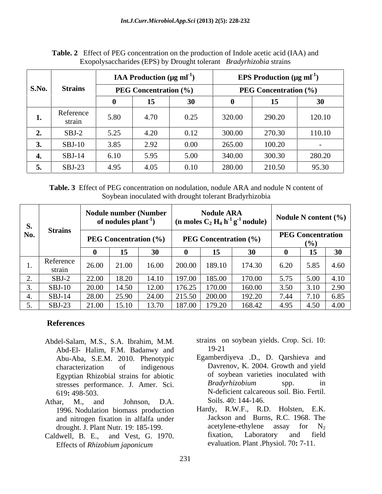|       |                                                |      | <b>IAA Production</b> ( $\mu$ g ml <sup>-1</sup> ) |           | <b>EPS Production</b> ( $\mu$ g ml <sup>-1</sup> ) |                 |        |
|-------|------------------------------------------------|------|----------------------------------------------------|-----------|----------------------------------------------------|-----------------|--------|
| S.No. | <b>Strains</b><br><b>PEG Concentration (%)</b> |      | <b>PEG Concentration (%)</b>                       |           |                                                    |                 |        |
|       |                                                |      | 15.                                                | 30<br>.JV |                                                    | 15 <sup>1</sup> | 30     |
|       | Reference<br>strain                            | 5.80 | 4.70                                               | 0.25      | 320.00                                             | 290.20          | 120.10 |
|       | $SBJ-2$                                        | 5.25 | 4.20                                               | 0.12      | 300.00                                             | 270.30          | 110.10 |
|       | $SBJ-10$                                       | 3.85 | 2.92                                               | 0.00      | 265.00                                             | 100.20          |        |
|       | $SBJ-14$                                       | 6.10 | 5.95                                               | 5.00      | 340.00                                             | 300.30          | 280.20 |
|       | $SBJ-23$                                       | 4.95 | 4.05                                               | 0.10      | 280.00                                             | 210.50          | 95.30  |

**Table. 2** Effect of PEG concentration on the production of Indole acetic acid (IAA) and Exopolysaccharides (EPS) by Drought tolerant *Bradyrhizobia* strains

**Table. 3** Effect of PEG concentration on nodulation, nodule ARA and nodule N content of Soybean inoculated with drought tolerant Bradyrhizobia

| S.         |                     | <b>Nodule number (Number</b><br>of nodules plant <sup>-1</sup> |       |                              | <b>Nodule ARA</b><br>$\frac{1}{2}$ (n moles C <sub>2</sub> H <sub>4</sub> h <sup>-1</sup> g <sup>-1</sup> nodule) |        |                                           | Nodule N content $(\% )$ |              |              |
|------------|---------------------|----------------------------------------------------------------|-------|------------------------------|-------------------------------------------------------------------------------------------------------------------|--------|-------------------------------------------|--------------------------|--------------|--------------|
| No.        | <b>Strains</b>      | <b>PEG Concentration (%)</b>                                   |       | <b>PEG Concentration (%)</b> |                                                                                                                   |        | <b>PEG Concentration</b><br>$\frac{6}{6}$ |                          |              |              |
|            |                     |                                                                | 15    | 3 <sup>0</sup>               |                                                                                                                   |        | $\sim$ $\sim$                             |                          | 15           | 30           |
|            | Reference<br>strain | 26.00                                                          | 21.00 | 16.00                        | 200.00                                                                                                            | 189.10 | 174.30                                    | 6.20                     | 5.85         | 4.60         |
| <u>L</u> . | $SBJ-2$             | 22.00                                                          | 18.20 | 14.10                        | 197.00                                                                                                            | 185.00 | 170.00                                    | 5.75                     | 5.00         | 4.10         |
|            | $SBJ-10$            | 20.00                                                          | 14.50 | 12.00                        | 176.25                                                                                                            | 70.00  | 160.00                                    | 3.50                     | $J \cdot I$  | 2.90<br>2.70 |
|            | $SBJ-14$            | 28.00                                                          | 25.90 | 24.00                        | 215.50                                                                                                            | 200.00 | 192.20                                    | 7.44                     | 7.10<br>1.10 | 6.85         |
|            | $SBJ-23$            | 21.00                                                          | 15,10 | 1370                         | 187.00                                                                                                            | 179.20 | 168.42                                    | 4.95                     | 4.50         | 4.00         |

# **References**

- Abd-El- Halim, F.M. Badanwy and Abu-Aba, S.E.M. 2010. Phenotypic stresses performance. J. Amer. Sci. Bradyrhizobium spp. Iel-Salam, M.S., S.A. Ibrahim, M.M. strains on soybean yields. Crop. Sci. 10:<br>
Abd-El- Halim, F.M. Badanwy and 19-21<br>
Abu-Aba, S.E.M. 2010. Phenotypic Egamberdiyeva .D., D. Qarshieva and<br>
characterization of indigenous Dav
- Athar, M., and Johnson, D.A. Soils. 40: 144-146. 1996. Nodulation biomass production
- 
- Abdel-Salam, M.S., S.A. Ibrahim, M.M. strains on soybean yields. Crop. Sci. 10:<br>Abd-Fl- Halim F.M. Badanwy and 19-21 19-21
	- characterization of indigenous Davrenov, K. 2004. Growth and yield Egyptian Rhizobial strains for abiotic of soybean varieties inoculated with<br>stresses performance I Amer Sci Bradyrhizobium spp. in 619**:** 498-503. N-deficient calcareous soil. Bio. Fertil. Egamberdiyeva .D., D. Qarshieva and of soybean varieties inoculated with *Bradyrhizobium* spp. in Soils. 40: 144-146.
- and nitrogen fixation in alfalfa under<br>drought I Plant Nutr 19:185-199 acetylene-ethylene assay for  $N_2$ drought. J. Plant Nutr. 19: 185-199. **acetylene-ethylene** assay for a saxistic divellence assay for a saxistic divellence and Vest. G. 1970. Caldwell, B. E., and Vest, G. 1970. Hardy, R.W.F., R.D. Holsten, E.K. Jackson and Burns, R.C. 1968. The acetylene-ethylene assay for  $N_2$ fixation, Laboratory and field evaluation. Plant .Physiol. 70**:** 7-11.